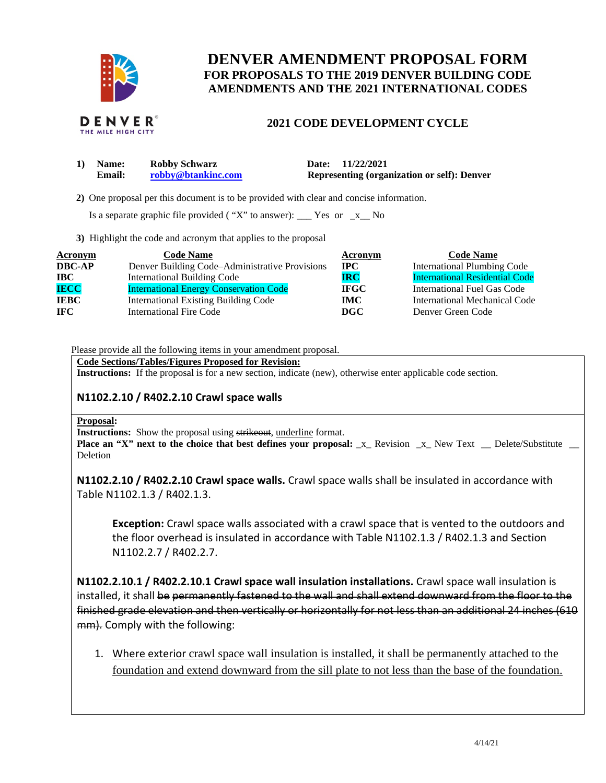

# **DENVER AMENDMENT PROPOSAL FORM FOR PROPOSALS TO THE 2019 DENVER BUILDING CODE AMENDMENTS AND THE 2021 INTERNATIONAL CODES**

# **2021 CODE DEVELOPMENT CYCLE**

| <b>Name:</b>  | <b>Robby Schwarz</b> | Date: 11/22/2021                                   |
|---------------|----------------------|----------------------------------------------------|
| <b>Email:</b> | robby@btankinc.com   | <b>Representing (organization or self): Denver</b> |

 **2)** One proposal per this document is to be provided with clear and concise information.

Is a separate graphic file provided ("X" to answer):  $\frac{\ }{2}$  Yes or  $\frac{\ }{2}$  No

**3)** Highlight the code and acronym that applies to the proposal

| <b>Acronym</b> | <b>Code Name</b>                               | Acronym     | <b>Code Name</b>                      |
|----------------|------------------------------------------------|-------------|---------------------------------------|
| <b>DBC-AP</b>  | Denver Building Code-Administrative Provisions | $\bf{IPC}$  | <b>International Plumbing Code</b>    |
| $\bf IBC$      | <b>International Building Code</b>             | <b>IRC</b>  | <b>International Residential Code</b> |
| <b>IECC</b>    | <b>International Energy Conservation Code</b>  | <b>IFGC</b> | <b>International Fuel Gas Code</b>    |
| <b>IEBC</b>    | <b>International Existing Building Code</b>    | <b>IMC</b>  | International Mechanical Code         |
| <b>IFC</b>     | <b>International Fire Code</b>                 | <b>DGC</b>  | Denver Green Code                     |

Please provide all the following items in your amendment proposal.

**Code Sections/Tables/Figures Proposed for Revision:** 

**Instructions:** If the proposal is for a new section, indicate (new), otherwise enter applicable code section.

### **N1102.2.10 / R402.2.10 Crawl space walls**

#### **Proposal:**

**Instructions:** Show the proposal using strikeout, underline format.

**Place an "X" next to the choice that best defines your proposal:**  $\bar{x}$  Revision  $\bar{x}$  New Text Delete/Substitute **Deletion** 

**N1102.2.10 / R402.2.10 Crawl space walls.** Crawl space walls shall be insulated in accordance with Table N1102.1.3 / R402.1.3.

**Exception:** Crawl space walls associated with a crawl space that is vented to the outdoors and the floor overhead is insulated in accordance with Table N1102.1.3 / R402.1.3 and Section N1102.2.7 / R402.2.7.

**N1102.2.10.1 / R402.2.10.1 Crawl space wall insulation installations.** Crawl space wall insulation is installed, it shall be permanently fastened to the wall and shall extend downward from the floor to the finished grade elevation and then vertically or horizontally for not less than an additional 24 inches (610 mm). Comply with the following:

1. Where exterior crawl space wall insulation is installed, it shall be permanently attached to the foundation and extend downward from the sill plate to not less than the base of the foundation.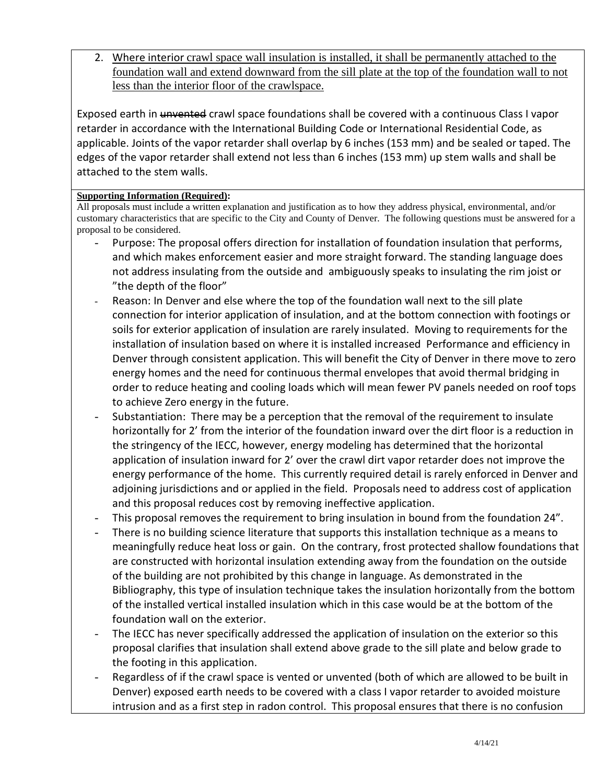2. Where interior crawl space wall insulation is installed, it shall be permanently attached to the foundation wall and extend downward from the sill plate at the top of the foundation wall to not less than the interior floor of the crawlspace.

Exposed earth in unvented crawl space foundations shall be covered with a continuous Class I vapor retarder in accordance with the International Building Code or International Residential Code, as applicable. Joints of the vapor retarder shall overlap by 6 inches (153 mm) and be sealed or taped. The edges of the vapor retarder shall extend not less than 6 inches (153 mm) up stem walls and shall be attached to the stem walls.

# **Supporting Information (Required):**

All proposals must include a written explanation and justification as to how they address physical, environmental, and/or customary characteristics that are specific to the City and County of Denver. The following questions must be answered for a proposal to be considered.

- Purpose: The proposal offers direction for installation of foundation insulation that performs, and which makes enforcement easier and more straight forward. The standing language does not address insulating from the outside and ambiguously speaks to insulating the rim joist or "the depth of the floor"
- Reason: In Denver and else where the top of the foundation wall next to the sill plate connection for interior application of insulation, and at the bottom connection with footings or soils for exterior application of insulation are rarely insulated. Moving to requirements for the installation of insulation based on where it is installed increased Performance and efficiency in Denver through consistent application. This will benefit the City of Denver in there move to zero energy homes and the need for continuous thermal envelopes that avoid thermal bridging in order to reduce heating and cooling loads which will mean fewer PV panels needed on roof tops to achieve Zero energy in the future.
- Substantiation: There may be a perception that the removal of the requirement to insulate horizontally for 2' from the interior of the foundation inward over the dirt floor is a reduction in the stringency of the IECC, however, energy modeling has determined that the horizontal application of insulation inward for 2' over the crawl dirt vapor retarder does not improve the energy performance of the home. This currently required detail is rarely enforced in Denver and adjoining jurisdictions and or applied in the field. Proposals need to address cost of application and this proposal reduces cost by removing ineffective application.
- This proposal removes the requirement to bring insulation in bound from the foundation 24".
- There is no building science literature that supports this installation technique as a means to meaningfully reduce heat loss or gain. On the contrary, frost protected shallow foundations that are constructed with horizontal insulation extending away from the foundation on the outside of the building are not prohibited by this change in language. As demonstrated in the Bibliography, this type of insulation technique takes the insulation horizontally from the bottom of the installed vertical installed insulation which in this case would be at the bottom of the foundation wall on the exterior.
- The IECC has never specifically addressed the application of insulation on the exterior so this proposal clarifies that insulation shall extend above grade to the sill plate and below grade to the footing in this application.
- Regardless of if the crawl space is vented or unvented (both of which are allowed to be built in Denver) exposed earth needs to be covered with a class I vapor retarder to avoided moisture intrusion and as a first step in radon control. This proposal ensures that there is no confusion